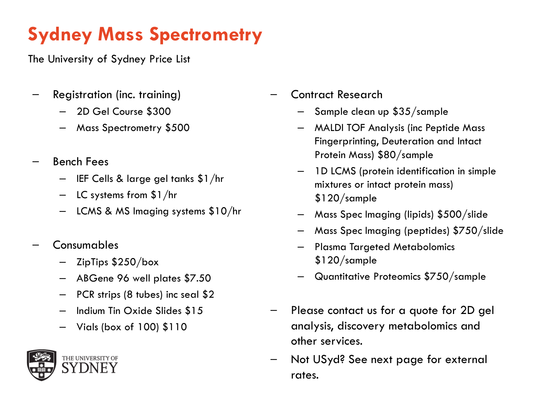## **Sydney Mass Spectrometry**

The University of Sydney Price List

- Registration (inc. training)
	- 2D Gel Course \$300
	- Mass Spectrometry \$500
- Bench Fees
	- IEF Cells & large gel tanks \$1/hr
	- LC systems from \$1/hr
	- LCMS & MS Imaging systems \$10/hr
- Consumables
	- ZipTips \$250/box
	- ABGene 96 well plates \$7.50
	- PCR strips (8 tubes) inc seal \$2
	- Indium Tin Oxide Slides \$15
	- Vials (box of 100) \$110



- Contract Research
	- Sample clean up \$35/sample
	- MALDI TOF Analysis (inc Peptide Mass Fingerprinting, Deuteration and Intact Protein Mass) \$80/sample
	- 1D LCMS (protein identification in simple mixtures or intact protein mass) \$120/sample
	- Mass Spec Imaging (lipids) \$500/slide
	- Mass Spec Imaging (peptides) \$750/slide
	- Plasma Targeted Metabolomics \$120/sample
	- Quantitative Proteomics \$750/sample
- Please contact us for a quote for 2D gel analysis, discovery metabolomics and other services.
- Not USyd? See next page for external rates.